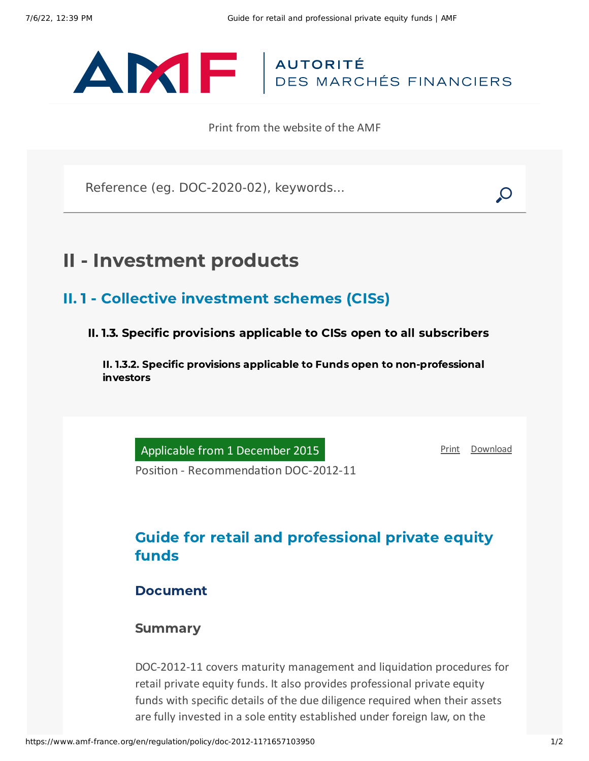# ANTE AUTORITÉ

Print from the website of the AMF

Reference (eg. DOC-2020-02), keywords...

## II - Investment products

## II. 1 - Collective investment schemes (CISs)

II. 1.3. Specific provisions applicable to CISs open to all subscribers

II. 1.3.2. Specific provisions applicable to Funds open to non-professional investors

Applicable from 1 December 2015

[Print](javascript:window.print()) [Download](https://www.amf-france.org/sites/default/files/pdf/62886/en/Guide_for_retail_and_professional_private_equity_funds.pdf?1657103951)

Position - Recommendation DOC-2012-11

## Guide for retail and professional private equity funds

#### Document

#### **Summary**

DOC-2012-11 covers maturity management and liquidation procedures for retail private equity funds. It also provides professional private equity funds with specific details of the due diligence required when their assets are fully invested in a sole entity established under foreign law, on the